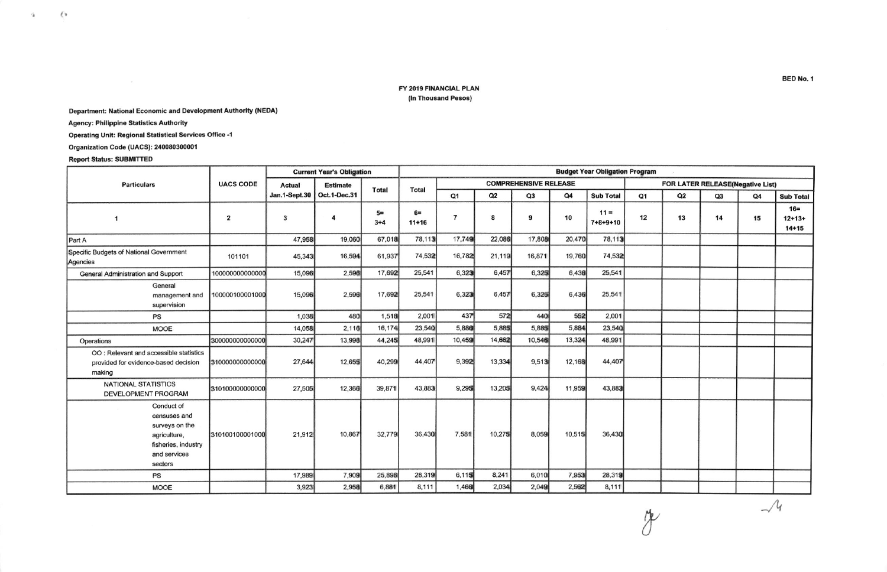## FY 2019 FINANCIAL PLAN (In Thousand Pesos)

## Department: National Economic and Development Authority (NEDA)

**Agency: Philippine Statistics Authority** 

**Operating Unit: Regional Statistical Services Office -1** 

Organization Code (UACS): 240080300001

## **Report Status: SUBMITTED**

 $\langle \cdot \rangle$ 

 $\mathcal{G}$ 

| <b>Particulars</b>                                                                                             | <b>UACS CODE</b>        | <b>Current Year's Obligation</b> |                 |                 | <b>Budget Year Obligation Program</b> |                              |        |        |        |                            |                                  |    |    |    |                                |
|----------------------------------------------------------------------------------------------------------------|-------------------------|----------------------------------|-----------------|-----------------|---------------------------------------|------------------------------|--------|--------|--------|----------------------------|----------------------------------|----|----|----|--------------------------------|
|                                                                                                                |                         | Actual                           | <b>Estimate</b> | <b>Total</b>    | <b>Total</b>                          | <b>COMPREHENSIVE RELEASE</b> |        |        |        |                            | FOR LATER RELEASE(Negative List) |    |    |    |                                |
|                                                                                                                |                         | Jan.1-Sept.30                    | Oct.1-Dec.31    |                 |                                       | Q <sub>1</sub>               | Q2     | Q3     | Q4     | <b>Sub Total</b>           | Q1                               | Q2 | Q3 | Q4 | <b>Sub Total</b>               |
| 1                                                                                                              | $\overline{\mathbf{2}}$ | 3                                | 4               | $5=$<br>$3 + 4$ | $6=$<br>$11+16$                       | $\overline{7}$               | 8      | 9      | 10     | $11 =$<br>$7 + 8 + 9 + 10$ | 12                               | 13 | 14 | 15 | $16=$<br>$12+13+$<br>$14 + 15$ |
| Part A                                                                                                         |                         | 47,958                           | 19,060          | 67,018          | 78,113                                | 17,749                       | 22,086 | 17,808 | 20,470 | 78,113                     |                                  |    |    |    |                                |
| Specific Budgets of National Government<br>Agencies                                                            | 101101                  | 45,343                           | 16,594          | 61,937          | 74,532                                | 16,782                       | 21,119 | 16,871 | 19,760 | 74,532                     |                                  |    |    |    |                                |
| General Administration and Support                                                                             | 100000000000000         | 15.096                           | 2,596           | 17,692          | 25,541                                | 6,323                        | 6,457  | 6,325  | 6,436  | 25,541                     |                                  |    |    |    |                                |
| General<br>management and<br>supervision                                                                       | 100000100001000         | 15,096                           | 2,596           | 17,692          | 25,541                                | 6,323                        | 6,457  | 6,325  | 6,436  | 25,541                     |                                  |    |    |    |                                |
| PS                                                                                                             |                         | 1,038                            | 480             | 1,518           | 2,001                                 | 437                          | 572    | 440    | 552    | 2,001                      |                                  |    |    |    |                                |
| <b>MOOE</b>                                                                                                    |                         | 14,058                           | 2,116           | 16,174          | 23,540                                | 5,886                        | 5,885  | 5,885  | 5,884  | 23,540                     |                                  |    |    |    |                                |
| Operations                                                                                                     | 300000000000000         | 30,247                           | 13,998          | 44,245          | 48,991                                | 10,459                       | 14,662 | 10,546 | 13,324 | 48,991                     |                                  |    |    |    |                                |
| OO : Relevant and accessible statistics<br>provided for evidence-based decision<br>making                      | 310000000000000         | 27,644                           | 12,655          | 40,299          | 44,407                                | 9,392                        | 13,334 | 9,513  | 12,168 | 44,407                     |                                  |    |    |    |                                |
| <b>NATIONAL STATISTICS</b><br>DEVELOPMENT PROGRAM                                                              | 310100000000000         | 27,505                           | 12,366          | 39,871          | 43,883                                | 9,295                        | 13,205 | 9,424  | 11,959 | 43,883                     |                                  |    |    |    |                                |
| Conduct of<br>censuses and<br>surveys on the<br>agriculture,<br>fisheries, industry<br>and services<br>sectors | 310100100001000         | 21,912                           | 10,867          | 32,779          | 36,430                                | 7,581                        | 10,275 | 8,059  | 10,515 | 36,430                     |                                  |    |    |    |                                |
| PS                                                                                                             |                         | 17,989                           | 7,909           | 25,898          | 28,319                                | 6,115                        | 8,241  | 6,010  | 7,953  | 28,319                     |                                  |    |    |    |                                |
| <b>MOOE</b>                                                                                                    |                         | 3,923                            | 2,958           | 6,881           | 8,111                                 | 1,466                        | 2,034  | 2,049  | 2,562  | 8,111                      |                                  |    |    |    |                                |

BED No. 1

 $\mathcal{A}$ 

7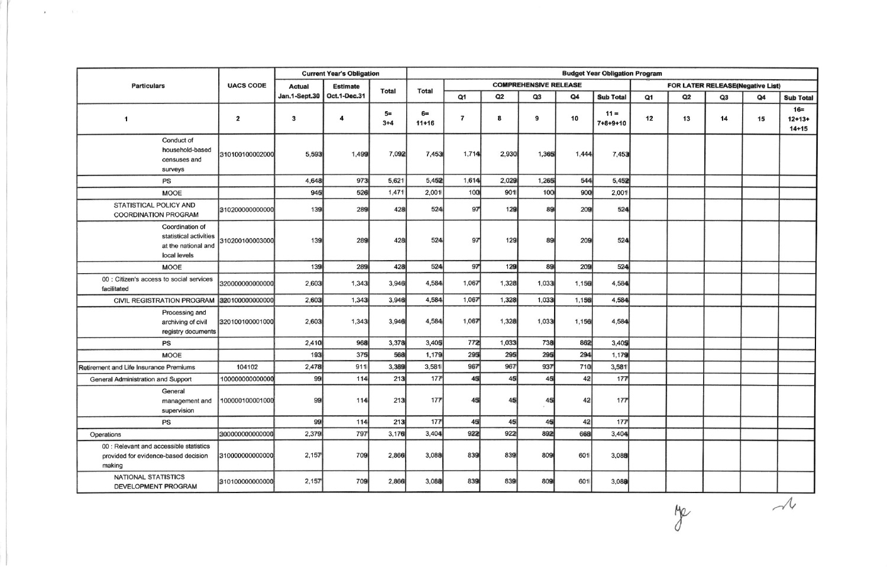|                                                                                           | <b>UACS CODE</b>        | <b>Current Year's Obligation</b> |                 |                 | <b>Budget Year Obligation Program</b> |                |       |                              |       |                            |                                  |    |    |    |                                |
|-------------------------------------------------------------------------------------------|-------------------------|----------------------------------|-----------------|-----------------|---------------------------------------|----------------|-------|------------------------------|-------|----------------------------|----------------------------------|----|----|----|--------------------------------|
| <b>Particulars</b>                                                                        |                         | <b>Actual</b>                    | <b>Estimate</b> | <b>Total</b>    | <b>Total</b>                          |                |       | <b>COMPREHENSIVE RELEASE</b> |       |                            | FOR LATER RELEASE(Negative List) |    |    |    |                                |
|                                                                                           |                         | <b>Jan.1-Sept.30</b>             | Oct.1-Dec.31    |                 |                                       | Q1             | Q2    | Q3                           | Q4    | <b>Sub Total</b>           | Q <sub>1</sub>                   | Q2 | Q3 | Q4 | <b>Sub Total</b>               |
| $\overline{1}$                                                                            | $\overline{\mathbf{2}}$ | 3                                | 4               | $5=$<br>$3 + 4$ | $6=$<br>$11+16$                       | $\overline{7}$ | 8     | 9                            | 10    | $11 =$<br>$7 + 8 + 9 + 10$ | 12                               | 13 | 14 | 15 | $16=$<br>$12+13+$<br>$14 + 15$ |
| Conduct of<br>household-based<br>censuses and<br>surveys                                  | 310100100002000         | 5,593                            | 1,499           | 7,092           | 7,453                                 | 1,714          | 2,930 | 1,365                        | 1,444 | 7,453                      |                                  |    |    |    |                                |
| PS                                                                                        |                         | 4,648                            | 973             | 5,621           | 5,452                                 | 1,614          | 2,029 | 1,265                        | 544   | 5,452                      |                                  |    |    |    |                                |
| <b>MOOE</b>                                                                               |                         | 945                              | 526             | 1,471           | 2,001                                 | 100            | 901   | 100                          | 900   | 2,001                      |                                  |    |    |    |                                |
| STATISTICAL POLICY AND<br><b>COORDINATION PROGRAM</b>                                     | 310200000000000         | 139                              | 289             | 428             | 524                                   | 97             | 129   | 89                           | 209   | 524                        |                                  |    |    |    |                                |
| Coordination of<br>statistical activities<br>at the national and<br>local levels          | 310200100003000         | 139                              | 289             | 428             | 524                                   | 97             | 129   | 89                           | 209   | 524                        |                                  |    |    |    |                                |
| <b>MOOE</b>                                                                               |                         | 139                              | 289             | 428             | 524                                   | 97             | 129   | 89                           | 209   | 524                        |                                  |    |    |    |                                |
| 00 : Citizen's access to social services<br>facilitated                                   | 320000000000000         | 2,603                            | 1,343           | 3,946           | 4,584                                 | 1,067          | 1,328 | 1,033                        | 1.156 | 4,584                      |                                  |    |    |    |                                |
| <b>CIVIL REGISTRATION PROGRAM</b>                                                         | 320100000000000         | 2,603                            | 1,343           | 3,946           | 4,584                                 | 1,067          | 1,328 | 1,033                        | 1.156 | 4,584                      |                                  |    |    |    |                                |
| Processing and<br>archiving of civil<br>registry documents                                | 320100100001000         | 2,603                            | 1,343           | 3,946           | 4,584                                 | 1,067          | 1,328 | 1,033                        | 1,156 | 4,584                      |                                  |    |    |    |                                |
| PS                                                                                        |                         | 2,410                            | 968             | 3,378           | 3,405                                 | 772            | 1,033 | 738                          | 862   | 3,405                      |                                  |    |    |    |                                |
| <b>MOOE</b>                                                                               |                         | 193                              | 375             | 568             | 1,179                                 | 295            | 295   | 295                          | 294   | 1,179                      |                                  |    |    |    |                                |
| Retirement and Life Insurance Premiums                                                    | 104102                  | 2,478                            | 911             | 3,389           | 3,581                                 | 967            | 967   | 937                          | 710   | 3,581                      |                                  |    |    |    |                                |
| General Administration and Support                                                        | 100000000000000         | 99                               | 114             | 213             | 177                                   | 45             | 45    | 45                           | 42    | 177                        |                                  |    |    |    |                                |
| General<br>management and<br>supervision                                                  | 100000100001000         | 99                               | 114             | 213             | 177                                   | 45             | 45    | 45                           | 42    | 177                        |                                  |    |    |    |                                |
| <b>PS</b>                                                                                 |                         | 99                               | 114             | 213             | 177                                   | 45             | 45    | 45                           | 42    | 177                        |                                  |    |    |    |                                |
| Operations                                                                                | 30000000000000          | 2,379                            | 797             | 3,176           | 3,404                                 | 922            | 922   | 892                          | 668   | 3,404                      |                                  |    |    |    |                                |
| 00 : Relevant and accessible statistics<br>provided for evidence-based decision<br>making | 310000000000000         | 2,157                            | 709             | 2,866           | 3,088                                 | 839            | 839   | 809                          | 601   | 3,088                      |                                  |    |    |    |                                |
| <b>NATIONAL STATISTICS</b><br><b>DEVELOPMENT PROGRAM</b>                                  | 310100000000000         | 2,157                            | 709             | 2.866           | 3,088                                 | 839            | 839   | 809                          | 601   | 3,088                      |                                  |    |    |    |                                |

 $\mathbf{z} = \mathbf{z} \in \mathbb{R}^{d \times d}$ 

Me

 $\overline{\mathcal{A}}$